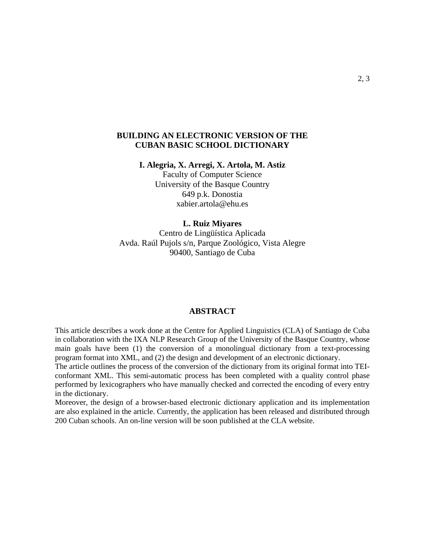# **BUILDING AN ELECTRONIC VERSION OF THE CUBAN BASIC SCHOOL DICTIONARY**

**I. Alegria, X. Arregi, X. Artola, M. Astiz** 

Faculty of Computer Science University of the Basque Country 649 p.k. Donostia xabier.artola@ehu.es

#### **L. Ruiz Miyares**

Centro de Lingüística Aplicada Avda. Raúl Pujols s/n, Parque Zoológico, Vista Alegre 90400, Santiago de Cuba

# **ABSTRACT**

This article describes a work done at the Centre for Applied Linguistics (CLA) of Santiago de Cuba in collaboration with the IXA NLP Research Group of the University of the Basque Country, whose main goals have been (1) the conversion of a monolingual dictionary from a text-processing program format into XML, and (2) the design and development of an electronic dictionary.

The article outlines the process of the conversion of the dictionary from its original format into TEIconformant XML. This semi-automatic process has been completed with a quality control phase performed by lexicographers who have manually checked and corrected the encoding of every entry in the dictionary.

Moreover, the design of a browser-based electronic dictionary application and its implementation are also explained in the article. Currently, the application has been released and distributed through 200 Cuban schools. An on-line version will be soon published at the CLA website.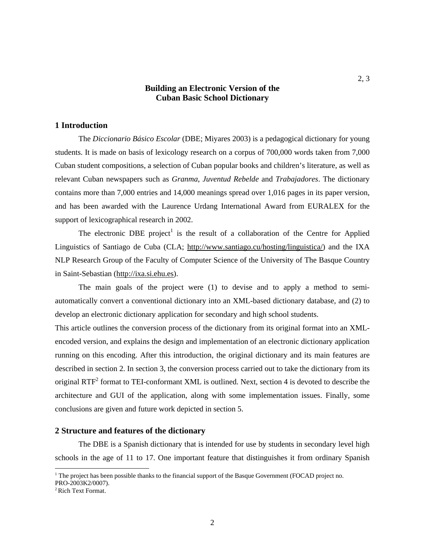# **Building an Electronic Version of the Cuban Basic School Dictionary**

# **1 Introduction**

The *Diccionario Básico Escolar* (DBE; Miyares 2003) is a pedagogical dictionary for young students. It is made on basis of lexicology research on a corpus of 700,000 words taken from 7,000 Cuban student compositions, a selection of Cuban popular books and children's literature, as well as relevant Cuban newspapers such as *Granma*, *Juventud Rebelde* and *Trabajadores*. The dictionary contains more than 7,000 entries and 14,000 meanings spread over 1,016 pages in its paper version, and has been awarded with the Laurence Urdang International Award from EURALEX for the support of lexicographical research in 2002.

The electronic DBE project<sup>1</sup> is the result of a collaboration of the Centre for Applied Linguistics of Santiago de Cuba (CLA; http://www.santiago.cu/hosting/linguistica/) and the IXA NLP Research Group of the Faculty of Computer Science of the University of The Basque Country in Saint-Sebastian (http://ixa.si.ehu.es).

The main goals of the project were (1) to devise and to apply a method to semiautomatically convert a conventional dictionary into an XML-based dictionary database, and (2) to develop an electronic dictionary application for secondary and high school students.

This article outlines the conversion process of the dictionary from its original format into an XMLencoded version, and explains the design and implementation of an electronic dictionary application running on this encoding. After this introduction, the original dictionary and its main features are described in section 2. In section 3, the conversion process carried out to take the dictionary from its original  $RTF<sup>2</sup>$  format to TEI-conformant XML is outlined. Next, section 4 is devoted to describe the architecture and GUI of the application, along with some implementation issues. Finally, some conclusions are given and future work depicted in section 5.

### **2 Structure and features of the dictionary**

The DBE is a Spanish dictionary that is intended for use by students in secondary level high schools in the age of 11 to 17. One important feature that distinguishes it from ordinary Spanish

 $\overline{a}$ 

2

<sup>&</sup>lt;sup>1</sup> The project has been possible thanks to the financial support of the Basque Government (FOCAD project no. PRO-2003K2/0007).

<sup>2</sup> Rich Text Format.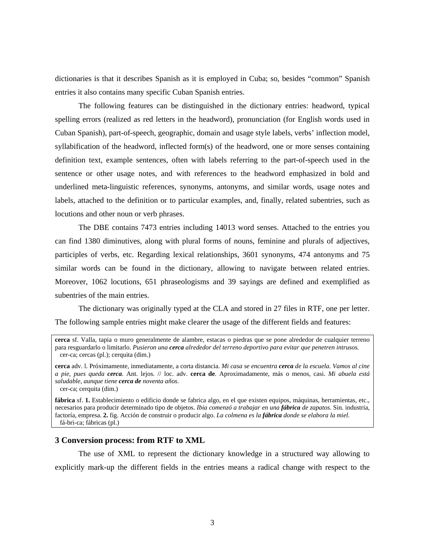dictionaries is that it describes Spanish as it is employed in Cuba; so, besides "common" Spanish entries it also contains many specific Cuban Spanish entries.

The following features can be distinguished in the dictionary entries: headword, typical spelling errors (realized as red letters in the headword), pronunciation (for English words used in Cuban Spanish), part-of-speech, geographic, domain and usage style labels, verbs' inflection model, syllabification of the headword, inflected form(s) of the headword, one or more senses containing definition text, example sentences, often with labels referring to the part-of-speech used in the sentence or other usage notes, and with references to the headword emphasized in bold and underlined meta-linguistic references, synonyms, antonyms, and similar words, usage notes and labels, attached to the definition or to particular examples, and, finally, related subentries, such as locutions and other noun or verb phrases.

The DBE contains 7473 entries including 14013 word senses. Attached to the entries you can find 1380 diminutives, along with plural forms of nouns, feminine and plurals of adjectives, participles of verbs, etc. Regarding lexical relationships, 3601 synonyms, 474 antonyms and 75 similar words can be found in the dictionary, allowing to navigate between related entries. Moreover, 1062 locutions, 651 phraseologisms and 39 sayings are defined and exemplified as subentries of the main entries.

The dictionary was originally typed at the CLA and stored in 27 files in RTF, one per letter. The following sample entries might make clearer the usage of the different fields and features:

**cerca** sf. Valla, tapia o muro generalmente de alambre, estacas o piedras que se pone alrededor de cualquier terreno para resguardarlo o limitarlo. *Pusieron una cerca alrededor del terreno deportivo para evitar que penetren intrusos.*  cer-ca; cercas (pl.); cerquita (dim.)

**cerca** adv. l. Próximamente, inmediatamente, a corta distancia. *Mi casa se encuentra cerca de la escuela. Vamos al cine a pie, pues queda cerca.* Ant. lejos. // loc. adv. **cerca de**. Aproximadamente, más o menos, casi. *Mi abuela está saludable, aunque tiene cerca de noventa años.* 

cer-ca; cerquita (dim.)

**fábrica** sf. **1.** Establecimiento o edificio donde se fabrica algo, en el que existen equipos, máquinas, herramientas, etc., necesarios para producir determinado tipo de objetos. *Ibia comenzó a trabajar en una fábrica de zapatos*. Sin. industria, factoría, empresa. **2.** fig. Acción de construir o producir algo. *La colmena es la fábrica donde se elabora la miel*. fá-bri-ca; fábricas (pl.)

### **3 Conversion process: from RTF to XML**

The use of XML to represent the dictionary knowledge in a structured way allowing to explicitly mark-up the different fields in the entries means a radical change with respect to the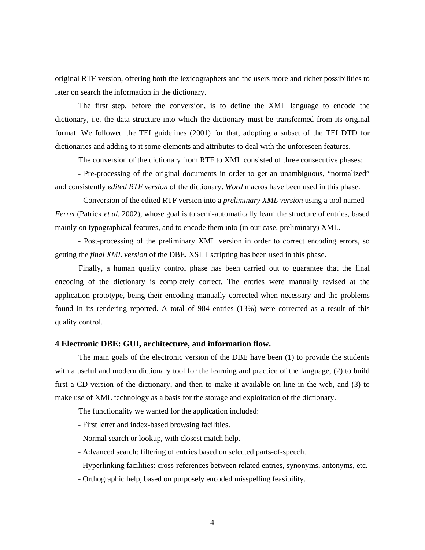original RTF version, offering both the lexicographers and the users more and richer possibilities to later on search the information in the dictionary.

The first step, before the conversion, is to define the XML language to encode the dictionary, i.e. the data structure into which the dictionary must be transformed from its original format. We followed the TEI guidelines (2001) for that, adopting a subset of the TEI DTD for dictionaries and adding to it some elements and attributes to deal with the unforeseen features.

The conversion of the dictionary from RTF to XML consisted of three consecutive phases:

 - Pre-processing of the original documents in order to get an unambiguous, "normalized" and consistently *edited RTF version* of the dictionary. *Word* macros have been used in this phase.

**-** Conversion of the edited RTF version into a *preliminary XML version* using a tool named *Ferret* (Patrick *et al.* 2002), whose goal is to semi-automatically learn the structure of entries, based mainly on typographical features, and to encode them into (in our case, preliminary) XML.

 - Post-processing of the preliminary XML version in order to correct encoding errors, so getting the *final XML version* of the DBE*.* XSLT scripting has been used in this phase.

Finally, a human quality control phase has been carried out to guarantee that the final encoding of the dictionary is completely correct. The entries were manually revised at the application prototype, being their encoding manually corrected when necessary and the problems found in its rendering reported. A total of 984 entries (13%) were corrected as a result of this quality control.

### **4 Electronic DBE: GUI, architecture, and information flow.**

The main goals of the electronic version of the DBE have been (1) to provide the students with a useful and modern dictionary tool for the learning and practice of the language, (2) to build first a CD version of the dictionary, and then to make it available on-line in the web, and (3) to make use of XML technology as a basis for the storage and exploitation of the dictionary.

The functionality we wanted for the application included:

- First letter and index-based browsing facilities.
- Normal search or lookup, with closest match help.
- Advanced search: filtering of entries based on selected parts-of-speech.
- Hyperlinking facilities: cross-references between related entries, synonyms, antonyms, etc.
- Orthographic help, based on purposely encoded misspelling feasibility.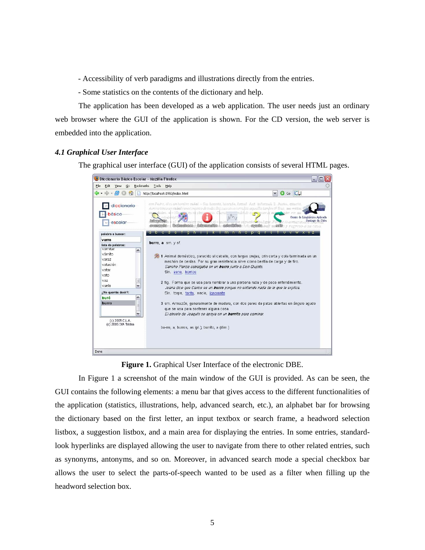- Accessibility of verb paradigms and illustrations directly from the entries.

- Some statistics on the contents of the dictionary and help.

The application has been developed as a web application. The user needs just an ordinary web browser where the GUI of the application is shown. For the CD version, the web server is embedded into the application.

#### *4.1 Graphical User Interface*

The graphical user interface (GUI) of the application consists of several HTML pages.



**Figure 1.** Graphical User Interface of the electronic DBE.

In Figure 1 a screenshot of the main window of the GUI is provided. As can be seen, the GUI contains the following elements: a menu bar that gives access to the different functionalities of the application (statistics, illustrations, help, advanced search, etc.), an alphabet bar for browsing the dictionary based on the first letter, an input textbox or search frame, a headword selection listbox, a suggestion listbox, and a main area for displaying the entries. In some entries, standardlook hyperlinks are displayed allowing the user to navigate from there to other related entries, such as synonyms, antonyms, and so on. Moreover, in advanced search mode a special checkbox bar allows the user to select the parts-of-speech wanted to be used as a filter when filling up the headword selection box.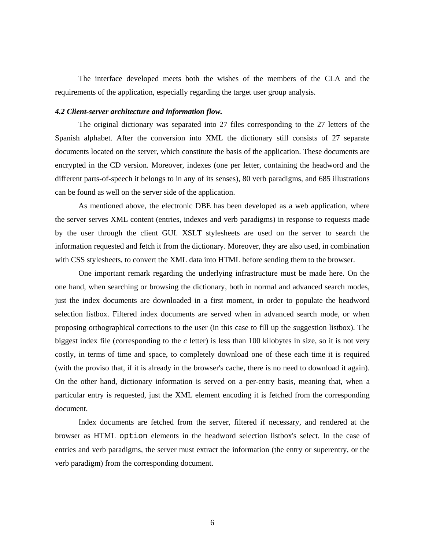The interface developed meets both the wishes of the members of the CLA and the requirements of the application, especially regarding the target user group analysis.

# *4.2 Client-server architecture and information flow.*

The original dictionary was separated into 27 files corresponding to the 27 letters of the Spanish alphabet. After the conversion into XML the dictionary still consists of 27 separate documents located on the server, which constitute the basis of the application. These documents are encrypted in the CD version. Moreover, indexes (one per letter, containing the headword and the different parts-of-speech it belongs to in any of its senses), 80 verb paradigms, and 685 illustrations can be found as well on the server side of the application.

As mentioned above, the electronic DBE has been developed as a web application, where the server serves XML content (entries, indexes and verb paradigms) in response to requests made by the user through the client GUI. XSLT stylesheets are used on the server to search the information requested and fetch it from the dictionary. Moreover, they are also used, in combination with CSS stylesheets, to convert the XML data into HTML before sending them to the browser.

One important remark regarding the underlying infrastructure must be made here. On the one hand, when searching or browsing the dictionary, both in normal and advanced search modes, just the index documents are downloaded in a first moment, in order to populate the headword selection listbox. Filtered index documents are served when in advanced search mode, or when proposing orthographical corrections to the user (in this case to fill up the suggestion listbox). The biggest index file (corresponding to the *c* letter) is less than 100 kilobytes in size, so it is not very costly, in terms of time and space, to completely download one of these each time it is required (with the proviso that, if it is already in the browser's cache, there is no need to download it again). On the other hand, dictionary information is served on a per-entry basis, meaning that, when a particular entry is requested, just the XML element encoding it is fetched from the corresponding document.

Index documents are fetched from the server, filtered if necessary, and rendered at the browser as HTML option elements in the headword selection listbox's select. In the case of entries and verb paradigms, the server must extract the information (the entry or superentry, or the verb paradigm) from the corresponding document.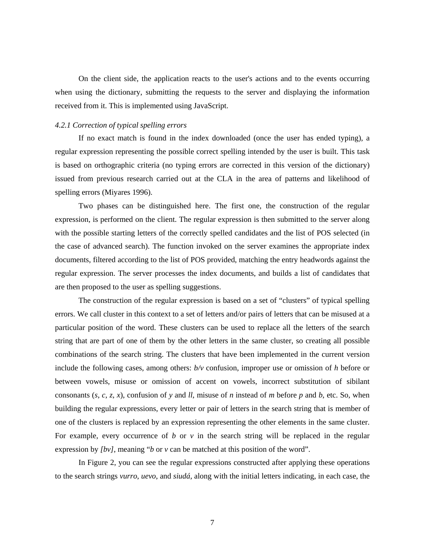On the client side, the application reacts to the user's actions and to the events occurring when using the dictionary, submitting the requests to the server and displaying the information received from it. This is implemented using JavaScript.

#### *4.2.1 Correction of typical spelling errors*

If no exact match is found in the index downloaded (once the user has ended typing), a regular expression representing the possible correct spelling intended by the user is built. This task is based on orthographic criteria (no typing errors are corrected in this version of the dictionary) issued from previous research carried out at the CLA in the area of patterns and likelihood of spelling errors (Miyares 1996).

Two phases can be distinguished here. The first one, the construction of the regular expression, is performed on the client. The regular expression is then submitted to the server along with the possible starting letters of the correctly spelled candidates and the list of POS selected (in the case of advanced search). The function invoked on the server examines the appropriate index documents, filtered according to the list of POS provided, matching the entry headwords against the regular expression. The server processes the index documents, and builds a list of candidates that are then proposed to the user as spelling suggestions.

The construction of the regular expression is based on a set of "clusters" of typical spelling errors. We call cluster in this context to a set of letters and/or pairs of letters that can be misused at a particular position of the word. These clusters can be used to replace all the letters of the search string that are part of one of them by the other letters in the same cluster, so creating all possible combinations of the search string. The clusters that have been implemented in the current version include the following cases, among others: *b/v* confusion, improper use or omission of *h* before or between vowels, misuse or omission of accent on vowels, incorrect substitution of sibilant consonants  $(s, c, z, x)$ , confusion of y and *ll*, misuse of *n* instead of *m* before *p* and *b*, etc. So, when building the regular expressions, every letter or pair of letters in the search string that is member of one of the clusters is replaced by an expression representing the other elements in the same cluster. For example, every occurrence of *b* or  $\nu$  in the search string will be replaced in the regular expression by *[bv]*, meaning "*b* or *v* can be matched at this position of the word".

In Figure 2, you can see the regular expressions constructed after applying these operations to the search strings *vurro*, *uevo*, and *siudá*, along with the initial letters indicating, in each case, the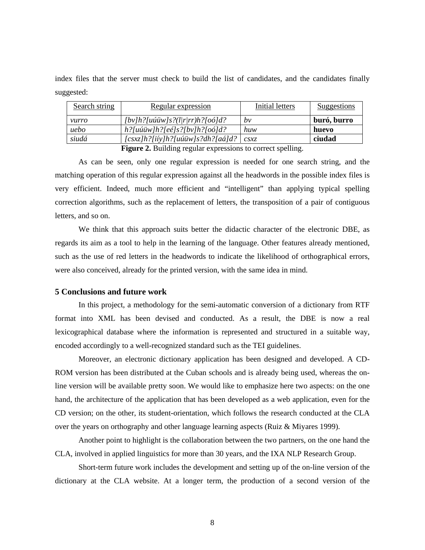index files that the server must check to build the list of candidates, and the candidates finally suggested:

| Search string | Regular expression                               | Initial letters  | Suggestions |
|---------------|--------------------------------------------------|------------------|-------------|
| vurro         | $[by]h?$ [uú $\ddot{u}w]s?$ ( $l$  r rr)h?[oó]d? | bv               | buró, burro |
| uebo          | $h$ ?[uúüw]h?[eé]s?[bv]h?[oó]d?                  | huw              | huevo       |
| siudá         | $[csxz]h$ ?[iíy]h?[uúüw]s?dh?[aá]d?              | $\mathcal{CS}XZ$ | ciudad      |
|               | $\blacksquare$<br>2.77.22                        | $\mathbf{11}$    |             |

Figure 2. Building regular expressions to correct spelling.

As can be seen, only one regular expression is needed for one search string, and the matching operation of this regular expression against all the headwords in the possible index files is very efficient. Indeed, much more efficient and "intelligent" than applying typical spelling correction algorithms, such as the replacement of letters, the transposition of a pair of contiguous letters, and so on.

We think that this approach suits better the didactic character of the electronic DBE, as regards its aim as a tool to help in the learning of the language. Other features already mentioned, such as the use of red letters in the headwords to indicate the likelihood of orthographical errors, were also conceived, already for the printed version, with the same idea in mind.

### **5 Conclusions and future work**

In this project, a methodology for the semi-automatic conversion of a dictionary from RTF format into XML has been devised and conducted. As a result, the DBE is now a real lexicographical database where the information is represented and structured in a suitable way, encoded accordingly to a well-recognized standard such as the TEI guidelines.

Moreover, an electronic dictionary application has been designed and developed. A CD-ROM version has been distributed at the Cuban schools and is already being used, whereas the online version will be available pretty soon. We would like to emphasize here two aspects: on the one hand, the architecture of the application that has been developed as a web application, even for the CD version; on the other, its student-orientation, which follows the research conducted at the CLA over the years on orthography and other language learning aspects (Ruiz & Miyares 1999).

Another point to highlight is the collaboration between the two partners, on the one hand the CLA, involved in applied linguistics for more than 30 years, and the IXA NLP Research Group.

Short-term future work includes the development and setting up of the on-line version of the dictionary at the CLA website. At a longer term, the production of a second version of the